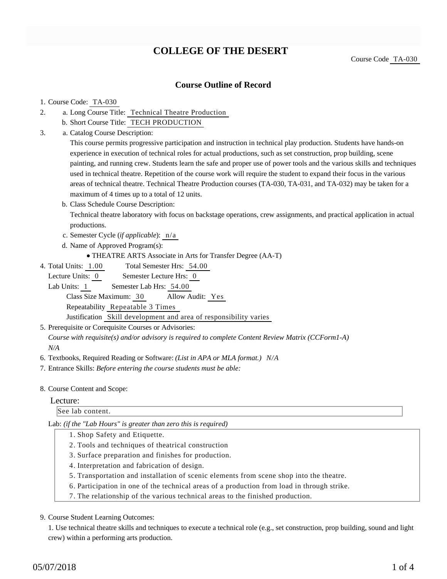# **COLLEGE OF THE DESERT**

Course Code TA-030

# **Course Outline of Record**

## 1. Course Code: TA-030

- a. Long Course Title: Technical Theatre Production 2.
	- b. Short Course Title: TECH PRODUCTION
- Catalog Course Description: a. 3.

This course permits progressive participation and instruction in technical play production. Students have hands-on experience in execution of technical roles for actual productions, such as set construction, prop building, scene painting, and running crew. Students learn the safe and proper use of power tools and the various skills and techniques used in technical theatre. Repetition of the course work will require the student to expand their focus in the various areas of technical theatre. Technical Theatre Production courses (TA-030, TA-031, and TA-032) may be taken for a maximum of 4 times up to a total of 12 units.

b. Class Schedule Course Description:

Technical theatre laboratory with focus on backstage operations, crew assignments, and practical application in actual productions.

- c. Semester Cycle (*if applicable*): n/a
- d. Name of Approved Program(s):

THEATRE ARTS Associate in Arts for Transfer Degree (AA-T)

Total Semester Hrs: 54.00 4. Total Units: 1.00

Lecture Units: 0 Semester Lecture Hrs: 0

Lab Units: 1 Semester Lab Hrs: 54.00 Class Size Maximum: 30 Allow Audit: Yes Repeatability Repeatable 3 Times Justification Skill development and area of responsibility varies

5. Prerequisite or Corequisite Courses or Advisories:

*Course with requisite(s) and/or advisory is required to complete Content Review Matrix (CCForm1-A) N/A*

- 6. Textbooks, Required Reading or Software: *(List in APA or MLA format.) N/A*
- 7. Entrance Skills: *Before entering the course students must be able:*

#### 8. Course Content and Scope:

#### Lecture:

See lab content.

Lab: *(if the "Lab Hours" is greater than zero this is required)*

- 1. Shop Safety and Etiquette.
- 2. Tools and techniques of theatrical construction
- 3. Surface preparation and finishes for production.
- 4. Interpretation and fabrication of design.
- 5. Transportation and installation of scenic elements from scene shop into the theatre.
- 6. Participation in one of the technical areas of a production from load in through strike.
- 7. The relationship of the various technical areas to the finished production.

#### 9. Course Student Learning Outcomes:

1. Use technical theatre skills and techniques to execute a technical role (e.g., set construction, prop building, sound and light crew) within a performing arts production.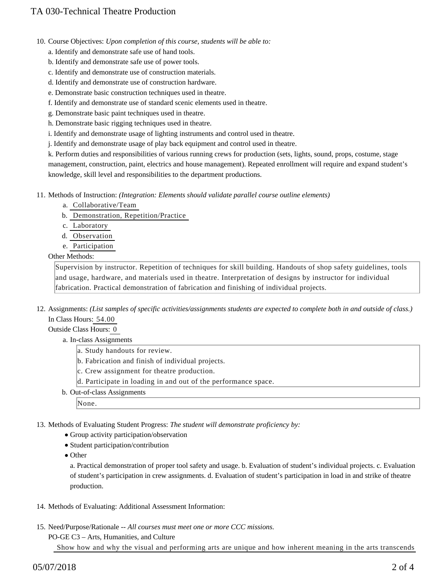- 10. Course Objectives: Upon completion of this course, students will be able to:
	- a. Identify and demonstrate safe use of hand tools.
	- b. Identify and demonstrate safe use of power tools.
	- c. Identify and demonstrate use of construction materials.
	- d. Identify and demonstrate use of construction hardware.
	- e. Demonstrate basic construction techniques used in theatre.
	- f. Identify and demonstrate use of standard scenic elements used in theatre.
	- g. Demonstrate basic paint techniques used in theatre.
	- h. Demonstrate basic rigging techniques used in theatre.
	- i. Identify and demonstrate usage of lighting instruments and control used in theatre.
	- j. Identify and demonstrate usage of play back equipment and control used in theatre.

k. Perform duties and responsibilities of various running crews for production (sets, lights, sound, props, costume, stage management, construction, paint, electrics and house management). Repeated enrollment will require and expand student's knowledge, skill level and responsibilities to the department productions.

11. Methods of Instruction: *(Integration: Elements should validate parallel course outline elements)* 

- a. Collaborative/Team
- b. Demonstration, Repetition/Practice
- c. Laboratory
- d. Observation
- e. Participation

## Other Methods:

Supervision by instructor. Repetition of techniques for skill building. Handouts of shop safety guidelines, tools and usage, hardware, and materials used in theatre. Interpretation of designs by instructor for individual fabrication. Practical demonstration of fabrication and finishing of individual projects.

12. Assignments: (List samples of specific activities/assignments students are expected to complete both in and outside of class.) In Class Hours: 54.00

## Outside Class Hours: 0

- a. In-class Assignments
	- a. Study handouts for review.
	- b. Fabrication and finish of individual projects.
	- c. Crew assignment for theatre production.
	- d. Participate in loading in and out of the performance space.
- b. Out-of-class Assignments

None.

13. Methods of Evaluating Student Progress: The student will demonstrate proficiency by:

- Group activity participation/observation
- Student participation/contribution
- Other

a. Practical demonstration of proper tool safety and usage. b. Evaluation of student's individual projects. c. Evaluation of student's participation in crew assignments. d. Evaluation of student's participation in load in and strike of theatre production.

- 14. Methods of Evaluating: Additional Assessment Information:
- 15. Need/Purpose/Rationale -- All courses must meet one or more CCC missions.

PO-GE C3 – Arts, Humanities, and Culture

Show how and why the visual and performing arts are unique and how inherent meaning in the arts transcends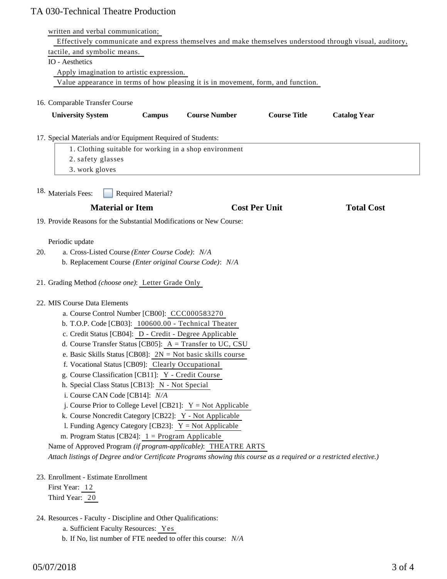# TA 030-Technical Theatre Production

| written and verbal communication;                                                                                  |                      |                     |                     |
|--------------------------------------------------------------------------------------------------------------------|----------------------|---------------------|---------------------|
| Effectively communicate and express themselves and make themselves understood through visual, auditory,            |                      |                     |                     |
| tactile, and symbolic means.                                                                                       |                      |                     |                     |
| IO - Aesthetics                                                                                                    |                      |                     |                     |
| Apply imagination to artistic expression.                                                                          |                      |                     |                     |
| Value appearance in terms of how pleasing it is in movement, form, and function.                                   |                      |                     |                     |
| 16. Comparable Transfer Course                                                                                     |                      |                     |                     |
|                                                                                                                    |                      |                     |                     |
| <b>University System</b><br>Campus                                                                                 | <b>Course Number</b> | <b>Course Title</b> | <b>Catalog Year</b> |
| 17. Special Materials and/or Equipment Required of Students:                                                       |                      |                     |                     |
| 1. Clothing suitable for working in a shop environment                                                             |                      |                     |                     |
| 2. safety glasses                                                                                                  |                      |                     |                     |
| 3. work gloves                                                                                                     |                      |                     |                     |
|                                                                                                                    |                      |                     |                     |
| <sup>18.</sup> Materials Fees:<br><b>Required Material?</b>                                                        |                      |                     |                     |
| <b>Material or Item</b>                                                                                            | <b>Cost Per Unit</b> |                     | <b>Total Cost</b>   |
| 19. Provide Reasons for the Substantial Modifications or New Course:                                               |                      |                     |                     |
|                                                                                                                    |                      |                     |                     |
| Periodic update                                                                                                    |                      |                     |                     |
| 20.<br>a. Cross-Listed Course (Enter Course Code): N/A                                                             |                      |                     |                     |
| b. Replacement Course (Enter original Course Code): N/A                                                            |                      |                     |                     |
| 21. Grading Method (choose one): Letter Grade Only                                                                 |                      |                     |                     |
| 22. MIS Course Data Elements                                                                                       |                      |                     |                     |
| a. Course Control Number [CB00]: CCC000583270                                                                      |                      |                     |                     |
| b. T.O.P. Code [CB03]: 100600.00 - Technical Theater                                                               |                      |                     |                     |
| c. Credit Status [CB04]: D - Credit - Degree Applicable                                                            |                      |                     |                     |
| d. Course Transfer Status [CB05]: A = Transfer to UC, CSU                                                          |                      |                     |                     |
| e. Basic Skills Status [CB08]: $2N = Not basic skills course$                                                      |                      |                     |                     |
| f. Vocational Status [CB09]: Clearly Occupational                                                                  |                      |                     |                     |
| g. Course Classification [CB11]: Y - Credit Course                                                                 |                      |                     |                     |
| h. Special Class Status [CB13]: N - Not Special                                                                    |                      |                     |                     |
| i. Course CAN Code [CB14]: N/A                                                                                     |                      |                     |                     |
| j. Course Prior to College Level [CB21]: $Y = Not$ Applicable                                                      |                      |                     |                     |
| k. Course Noncredit Category [CB22]: Y - Not Applicable                                                            |                      |                     |                     |
| 1. Funding Agency Category [CB23]: $Y = Not$ Applicable                                                            |                      |                     |                     |
| m. Program Status [CB24]: $1 =$ Program Applicable                                                                 |                      |                     |                     |
| Name of Approved Program (if program-applicable): THEATRE ARTS                                                     |                      |                     |                     |
| Attach listings of Degree and/or Certificate Programs showing this course as a required or a restricted elective.) |                      |                     |                     |
| 23. Enrollment - Estimate Enrollment                                                                               |                      |                     |                     |
| First Year: 12                                                                                                     |                      |                     |                     |
| Third Year: 20                                                                                                     |                      |                     |                     |
|                                                                                                                    |                      |                     |                     |
| 24. Resources - Faculty - Discipline and Other Qualifications:                                                     |                      |                     |                     |
| a. Sufficient Faculty Resources: Yes                                                                               |                      |                     |                     |

b. If No, list number of FTE needed to offer this course: *N/A*